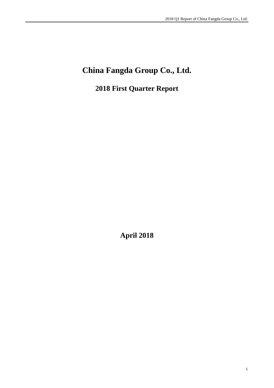# **China Fangda Group Co., Ltd.**

**2018 First Quarter Report**

**April 2018**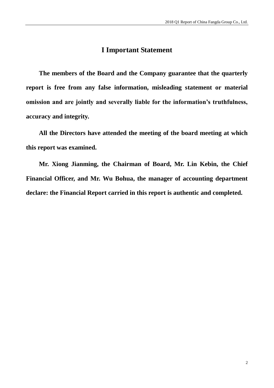### **I Important Statement**

**The members of the Board and the Company guarantee that the quarterly report is free from any false information, misleading statement or material omission and are jointly and severally liable for the information's truthfulness, accuracy and integrity.** 

**All the Directors have attended the meeting of the board meeting at which this report was examined.** 

**Mr. Xiong Jianming, the Chairman of Board, Mr. Lin Kebin, the Chief Financial Officer, and Mr. Wu Bohua, the manager of accounting department declare: the Financial Report carried in this report is authentic and completed.**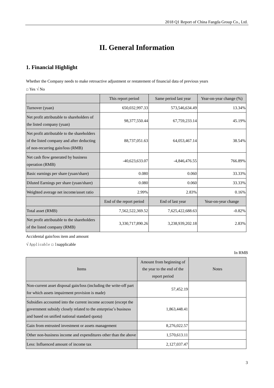## **II. General Information**

### **1. Financial Highlight**

Whether the Company needs to make retroactive adjustment or restatement of financial data of previous years

 $\Box$  Yes  $\sqrt{N\Omega}$ 

|                                                                                                                              | This report period       | Same period last year | Year-on-year change (%) |
|------------------------------------------------------------------------------------------------------------------------------|--------------------------|-----------------------|-------------------------|
| Turnover (yuan)                                                                                                              | 650,032,997.33           | 573,546,634.49        | 13.34%                  |
| Net profit attributable to shareholders of<br>the listed company (yuan)                                                      | 98, 377, 550. 44         | 67,759,233.14         | 45.19%                  |
| Net profit attributable to the shareholders<br>of the listed company and after deducting<br>of non-recurring gain/loss (RMB) | 88,737,051.63            | 64,053,467.14         | 38.54%                  |
| Net cash flow generated by business<br>operation (RMB)                                                                       | $-40,623,633.07$         | $-4,846,476.55$       | 766.89%                 |
| Basic earnings per share (yuan/share)                                                                                        | 0.080                    | 0.060                 | 33.33%                  |
| Diluted Earnings per share (yuan/share)                                                                                      | 0.080                    | 0.060                 | 33.33%                  |
| Weighted average net income/asset ratio                                                                                      | 2.99%                    | 2.83%                 | 0.16%                   |
|                                                                                                                              | End of the report period | End of last year      | Year-on-year change     |
| Total asset (RMB)                                                                                                            | 7,562,522,369.52         | 7,625,422,688.63      | $-0.82%$                |
| Net profit attributable to the shareholders<br>of the listed company (RMB)                                                   | 3,330,717,890.26         | 3,238,939,202.18      | 2.83%                   |

Accidental gain/loss item and amount

 $\sqrt{\text{Applied}}$ 

| <b>Items</b>                                                                                                                                                                        | Amount from beginning of<br>the year to the end of the<br>report period | <b>Notes</b> |
|-------------------------------------------------------------------------------------------------------------------------------------------------------------------------------------|-------------------------------------------------------------------------|--------------|
| Non-current asset disposal gain/loss (including the write-off part<br>for which assets impairment provision is made)                                                                | 57,452.19                                                               |              |
| Subsidies accounted into the current income account (except the<br>government subsidy closely related to the enterprise's business<br>and based on unified national standard quota) | 1,863,448.41                                                            |              |
| Gain from entrusted investment or assets management                                                                                                                                 | 8,276,022.57                                                            |              |
| Other non-business income and expenditures other than the above                                                                                                                     | 1,570,613.11                                                            |              |
| Less: Influenced amount of income tax                                                                                                                                               | 2,127,037.47                                                            |              |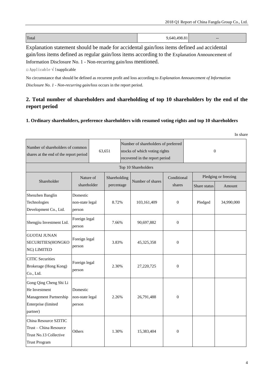| Total | ,640,498.81 | $- -$ |
|-------|-------------|-------|

Explanation statement should be made for accidental gain/loss items defined and accidental gain/loss items defined as regular gain/loss items according to the Explanation Announcement of Information Disclosure No. 1 - Non-recurring gain/loss mentioned.

□ Applicable √ Inapplicable

No circumstance that should be defined as recurrent profit and loss according to *Explanation Announcement of Information Disclosure No. 1 - Non-recurring gain/loss* occurs in the report period.

### **2. Total number of shareholders and shareholding of top 10 shareholders by the end of the report period**

#### **1. Ordinary shareholders, preference shareholders with resumed voting rights and top 10 shareholders**

|                                                                                                      |                                       |                                                                                                                  |              |  |                     |                  |  |              | In share             |
|------------------------------------------------------------------------------------------------------|---------------------------------------|------------------------------------------------------------------------------------------------------------------|--------------|--|---------------------|------------------|--|--------------|----------------------|
| Number of shareholders of common<br>shares at the end of the report period                           |                                       | Number of shareholders of preferred<br>63,651<br>stocks of which voting rights<br>recovered in the report period |              |  | $\Omega$            |                  |  |              |                      |
|                                                                                                      |                                       |                                                                                                                  |              |  | Top 10 Shareholders |                  |  |              |                      |
|                                                                                                      | Nature of                             |                                                                                                                  | Shareholding |  |                     | Conditional      |  |              | Pledging or freezing |
| Shareholder                                                                                          | shareholder                           |                                                                                                                  | percentage   |  | Number of shares    | shares           |  | Share status | Amount               |
| Shenzhen Banglin<br>Technologies<br>Development Co., Ltd.                                            | Domestic<br>non-state legal<br>person |                                                                                                                  | 8.72%        |  | 103,161,409         | $\Omega$         |  | Pledged      | 34,990,000           |
| Shengjiu Investment Ltd.                                                                             | Foreign legal<br>person               |                                                                                                                  | 7.66%        |  | 90,697,882          | $\Omega$         |  |              |                      |
| <b>GUOTAI JUNAN</b><br>SECURITIES(HONGKO<br>NG) LIMITED                                              | Foreign legal<br>person               |                                                                                                                  | 3.83%        |  | 45,325,358          | $\Omega$         |  |              |                      |
| <b>CITIC</b> Securities<br>Brokerage (Hong Kong)<br>Co., Ltd.                                        | Foreign legal<br>person               |                                                                                                                  | 2.30%        |  | 27,220,725          | $\boldsymbol{0}$ |  |              |                      |
| Gong Qing Cheng Shi Li<br>He Investment<br>Management Partnership<br>Enterprise (limited<br>partner) | Domestic<br>non-state legal<br>person |                                                                                                                  | 2.26%        |  | 26,791,488          | $\Omega$         |  |              |                      |
| China Resource SZITIC<br>Trust - China Resource<br>Trust No.13 Collective<br><b>Trust Program</b>    | Others                                |                                                                                                                  | 1.30%        |  | 15,383,404          | $\theta$         |  |              |                      |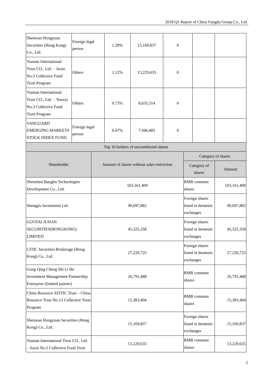| Shenwan Hongyuan<br>Securities (Hong Kong)<br>Co., Ltd.                                               | Foreign legal<br>person                 |            | 1.28%        | 15,169,837                                 | $\theta$              |                      |                                                   |                    |
|-------------------------------------------------------------------------------------------------------|-----------------------------------------|------------|--------------|--------------------------------------------|-----------------------|----------------------|---------------------------------------------------|--------------------|
| Yunnan International<br>Trust CO., Ltd. - Juxin<br>No.5 Collective Fund<br><b>Trust Program</b>       | Others                                  |            | 1.12%        | 13,229,635                                 | $\boldsymbol{0}$      |                      |                                                   |                    |
| Yunnan International<br>Trust CO., Ltd. - Yunxia<br>No.3 Collective Fund<br><b>Trust Program</b>      | Others                                  |            | 0.73%        | 8,635,314                                  | $\mathbf{0}$          |                      |                                                   |                    |
| <b>VANGUARD</b><br><b>EMERGING MARKETS</b><br>STOCK INDEX FUND                                        | Foreign legal<br>person                 |            | 0.67%        | 7,946,483                                  | $\mathbf{0}$          |                      |                                                   |                    |
|                                                                                                       |                                         |            |              | Top 10 holders of unconditional shares     |                       |                      |                                                   |                    |
|                                                                                                       |                                         |            |              |                                            |                       |                      |                                                   | Category of shares |
| Shareholder                                                                                           |                                         |            |              | Amount of shares without sales restriction | Category of<br>shares |                      | Amount                                            |                    |
| Shenzhen Banglin Technologies<br>Development Co., Ltd.                                                |                                         |            | 103,161,409  |                                            |                       |                      | RMB common<br>shares                              | 103,161,409        |
| Shengjiu Investment Ltd.                                                                              |                                         |            | 90,697,882   |                                            |                       |                      | Foreign shares<br>listed in domestic<br>exchanges | 90,697,882         |
| <b>GUOTAI JUNAN</b><br>SECURITIES(HONGKONG)<br><b>LIMITED</b>                                         |                                         |            | 45, 325, 358 |                                            |                       |                      | Foreign shares<br>listed in domestic<br>exchanges | 45,325,358         |
| Kong) Co., Ltd.                                                                                       | <b>CITIC Securities Brokerage (Hong</b> |            |              | 27,220,725                                 |                       |                      | Foreign shares<br>listed in domestic<br>exchanges | 27,220,725         |
| Gong Qing Cheng Shi Li He<br><b>Investment Management Partnership</b><br>Enterprise (limited partner) |                                         | 26,791,488 |              |                                            |                       | RMB common<br>shares |                                                   | 26,791,488         |
| China Resource SZITIC Trust - China<br>Resource Trust No.13 Collective Trust<br>Program               |                                         | 15,383,404 |              |                                            |                       | shares               | RMB common                                        | 15,383,404         |
| Kong) Co., Ltd.                                                                                       | Shenwan Hongyuan Securities (Hong       |            |              | 15,169,837                                 |                       |                      | Foreign shares<br>listed in domestic<br>exchanges | 15,169,837         |
| Yunnan International Trust CO., Ltd.<br>- Juxin No.5 Collective Fund Trust                            |                                         | 13,229,635 |              |                                            |                       | shares               | RMB common                                        | 13,229,635         |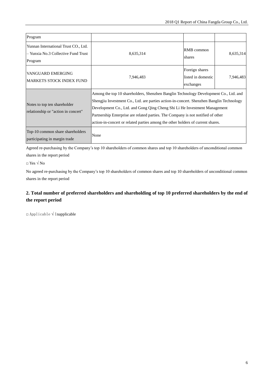| Program                                                                                |                                                                                                                                                                                                                                                                                                                                                                                                                                      |                                                   |           |  |  |
|----------------------------------------------------------------------------------------|--------------------------------------------------------------------------------------------------------------------------------------------------------------------------------------------------------------------------------------------------------------------------------------------------------------------------------------------------------------------------------------------------------------------------------------|---------------------------------------------------|-----------|--|--|
| Yunnan International Trust CO., Ltd.<br>– Yunxia No.3 Collective Fund Trust<br>Program | 8,635,314                                                                                                                                                                                                                                                                                                                                                                                                                            | RMB common<br>shares                              | 8,635,314 |  |  |
| VANGUARD EMERGING<br><b>MARKETS STOCK INDEX FUND</b>                                   | 7,946,483                                                                                                                                                                                                                                                                                                                                                                                                                            | Foreign shares<br>listed in domestic<br>exchanges | 7,946,483 |  |  |
| Notes to top ten shareholder<br>relationship or "action in concert"                    | Among the top 10 shareholders, Shenzhen Banglin Technology Development Co., Ltd. and<br>Shengjiu Investment Co., Ltd. are parties action-in-concert. Shenzhen Banglin Technology<br>Development Co., Ltd. and Gong Qing Cheng Shi Li He Investment Management<br>Partnership Enterprise are related parties. The Company is not notified of other<br>action-in-concert or related parties among the other holders of current shares. |                                                   |           |  |  |
| Top-10 common share shareholders<br>participating in margin trade                      | None                                                                                                                                                                                                                                                                                                                                                                                                                                 |                                                   |           |  |  |

Agreed re-purchasing by the Company's top 10 shareholders of common shares and top 10 shareholders of unconditional common shares in the report period

 $\Box$  Yes  $\sqrt{N_0}$ 

No agreed re-purchasing by the Company's top 10 shareholders of common shares and top 10 shareholders of unconditional common shares in the report period

### **2. Total number of preferred shareholders and shareholding of top 10 preferred shareholders by the end of the report period**

□ Applicable √ Inapplicable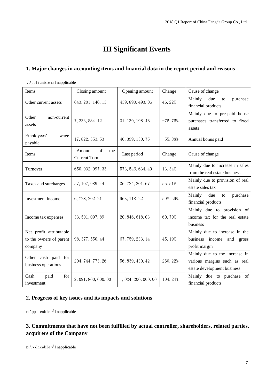## **III Significant Events**

### **1. Major changes in accounting items and financial data in the report period and reasons**

| Items                                                         | Closing amount                             | Opening amount       | Change    | Cause of change                                                                              |
|---------------------------------------------------------------|--------------------------------------------|----------------------|-----------|----------------------------------------------------------------------------------------------|
| Other current assets                                          | 643, 201, 146. 13                          | 439, 890, 493.06     | 46.22%    | Mainly<br>due<br>purchase<br>to<br>financial products                                        |
| Other<br>non-current<br>assets                                | 7, 233, 884. 12                            | 31, 130, 198. 46     | $-76.76%$ | Mainly due to pre-paid house<br>purchases transferred to fixed<br>assets                     |
| Employees'<br>wage<br>payable                                 | 17, 822, 353. 53                           | 40, 399, 130.75      | $-55.88%$ | Annual bonus paid                                                                            |
| Items                                                         | of<br>Amount<br>the<br><b>Current Term</b> | Last period          | Change    | Cause of change                                                                              |
| Turnover                                                      | 650, 032, 997.33                           | 573, 546, 634. 49    | 13.34%    | Mainly due to increase in sales<br>from the real estate business                             |
| Taxes and surcharges                                          | 57, 107, 989. 44                           | 36, 724, 201. 67     | 55.51%    | Mainly due to provision of real<br>estate sales tax                                          |
| Investment income                                             | 6,728,202.21                               | 963, 118.22          | 598.59%   | Mainly<br>purchase<br>due<br>to<br>financial products                                        |
| Income tax expenses                                           | 33, 501, 097.89                            | 20, 846, 618. 03     | 60.70%    | Mainly due to provision of<br>income tax for the real estate<br>business                     |
| Net profit attributable<br>to the owners of parent<br>company | 98, 377, 550. 44                           | 67, 759, 233. 14     | 45.19%    | Mainly due to increase in the<br>business income<br>and<br>gross<br>profit margin            |
| Other cash paid for<br>business operations                    | 204, 744, 773. 26                          | 56, 839, 430. 42     | 260.22%   | Mainly due to the increase in<br>various margins such as real<br>estate development business |
| Cash<br>paid<br>for<br>investment                             | 2,091,800,000.00                           | 1, 024, 200, 000. 00 | 104.24%   | Mainly due to purchase of<br>financial products                                              |

 $\sqrt{\text{Applied}}$ 

### **2. Progress of key issues and its impacts and solutions**

□ Applicable √ Inapplicable

### **3. Commitments that have not been fulfilled by actual controller, shareholders, related parties, acquirers of the Company**

□ Applicable √ Inapplicable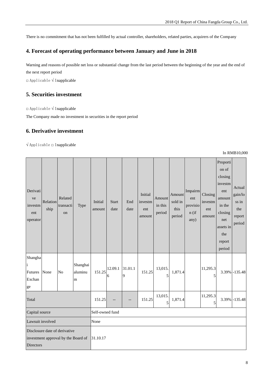There is no commitment that has not been fulfilled by actual controller, shareholders, related parties, acquirers of the Company

### **4. Forecast of operating performance between January and June in 2018**

Warning and reasons of possible net loss or substantial change from the last period between the beginning of the year and the end of the next report period

□ Applicable √ Inapplicable

#### **5. Securities investment**

□ Applicable √ Inapplicable

The Company made no investment in securities in the report period

### **6. Derivative investment**

 $\sqrt{\text{Applied}}$  Applicable  $\Box$  Inapplicable

|                                              |                  |                                                                      |                          |                   |                      |              |                                     |                             |                                     |                                             |                                     |                                                                                                                              | <b>III INVIDTU,00</b>                                 |
|----------------------------------------------|------------------|----------------------------------------------------------------------|--------------------------|-------------------|----------------------|--------------|-------------------------------------|-----------------------------|-------------------------------------|---------------------------------------------|-------------------------------------|------------------------------------------------------------------------------------------------------------------------------|-------------------------------------------------------|
| Derivati<br>ve<br>investm<br>ent<br>operator | Relation<br>ship | Related<br>transacti<br>on                                           | Type                     | Initial<br>amount | <b>Start</b><br>date | End<br>date  | Initial<br>investm<br>ent<br>amount | Amount<br>in this<br>period | Amount<br>sold in<br>this<br>period | Impairm<br>ent<br>provisio<br>n (if<br>any) | Closing<br>investm<br>ent<br>amount | Proporti<br>on of<br>closing<br>investm<br>ent<br>amount<br>in the<br>closing<br>net<br>assets in<br>the<br>report<br>period | Actual<br>gain/lo<br>ss in<br>the<br>report<br>period |
| Shangha<br>Futures<br>Exchan<br>${\rm ge}$   | None             | N <sub>o</sub>                                                       | Shanghai<br>aluminu<br>m | 151.25            | 12.09.1<br>6         | 31.01.1<br>9 | 151.25                              | 13,015.<br>5                | 1,871.4                             |                                             | 11,295.3<br>5                       |                                                                                                                              | 3.39% -135.48                                         |
| Total                                        |                  |                                                                      |                          | 151.25            |                      |              | 151.25                              | 13,015.<br>$\sqrt{5}$       | 1,871.4                             |                                             | 11,295.3<br>5                       |                                                                                                                              | 3.39% -135.48                                         |
| Capital source                               |                  |                                                                      |                          | Self-owned fund   |                      |              |                                     |                             |                                     |                                             |                                     |                                                                                                                              |                                                       |
| Lawsuit involved                             |                  |                                                                      | None                     |                   |                      |              |                                     |                             |                                     |                                             |                                     |                                                                                                                              |                                                       |
| Directors                                    |                  | Disclosure date of derivative<br>investment approval by the Board of |                          | 31.10.17          |                      |              |                                     |                             |                                     |                                             |                                     |                                                                                                                              |                                                       |

#### In RMB10,000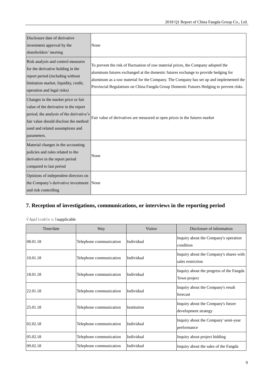| Disclosure date of derivative<br>investment approval by the<br>shareholders' meeting                                                                                                                                 | None                                                                                                                                                                                                                                                                                                                                                          |
|----------------------------------------------------------------------------------------------------------------------------------------------------------------------------------------------------------------------|---------------------------------------------------------------------------------------------------------------------------------------------------------------------------------------------------------------------------------------------------------------------------------------------------------------------------------------------------------------|
| Risk analysis and control measures<br>for the derivative holding in the<br>report period (including without<br>limitation market, liquidity, credit,<br>operation and legal risks)                                   | To prevent the risk of fluctuation of raw material prices, the Company adopted the<br>aluminum futures exchanged at the domestic futures exchange to provide hedging for<br>aluminum as a raw material for the Company. The Company has set up and implemented the<br>Provincial Regulations on China Fangda Group Domestic Futures Hedging to prevent risks. |
| Changes in the market price or fair<br>value of the derivative in the report<br>period, the analysis of the derivative's<br>fair value should disclose the method<br>used and related assumptions and<br>parameters. | Fair value of derivatives are measured at open prices in the futures market                                                                                                                                                                                                                                                                                   |
| Material changes in the accounting<br>policies and rules related to the<br>derivative in the report period<br>compared to last period                                                                                | None                                                                                                                                                                                                                                                                                                                                                          |
| Opinions of independent directors on<br>the Company's derivative investment None<br>and risk controlling                                                                                                             |                                                                                                                                                                                                                                                                                                                                                               |

### **7. Reception of investigations, communications, or interviews in the reporting period**

 $\sqrt{\text{Applied}}$  and  $\sqrt{\text{Applied}}$ 

| Time/date | Way                     | <b>Visitor</b> | Disclosure of information                                    |
|-----------|-------------------------|----------------|--------------------------------------------------------------|
| 08.01.18  | Telephone communication | Individual     | Inquiry about the Company's operation<br>condition           |
| 10.01.18  | Telephone communication | Individual     | Inquiry about the Company's shares with<br>sales restriction |
| 18.01.18  | Telephone communication | Individual     | Inquiry about the progress of the Fangda<br>Town project     |
| 22.01.18  | Telephone communication | Individual     | Inquiry about the Company's result<br>forecast               |
| 25.01.18  | Telephone communication | Institution    | Inquiry about the Company's future<br>development strategy   |
| 02.02.18  | Telephone communication | Individual     | Inquiry about the Company' semi-year<br>performance          |
| 05.02.18  | Telephone communication | Individual     | Inquiry about project bidding                                |
| 09.02.18  | Telephone communication | Individual     | Inquiry about the sales of the Fangda                        |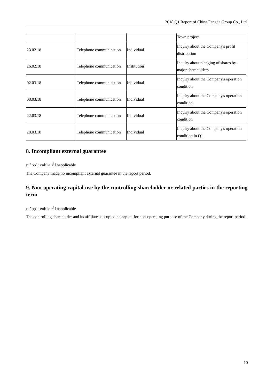|          |                         |             | Town project                                              |
|----------|-------------------------|-------------|-----------------------------------------------------------|
| 23.02.18 | Telephone communication | Individual  | Inquiry about the Company's profit<br>distribution        |
| 26.02.18 | Telephone communication | Institution | Inquiry about pledging of shares by<br>major shareholders |
| 02.03.18 | Telephone communication | Individual  | Inquiry about the Company's operation<br>condition        |
| 08.03.18 | Telephone communication | Individual  | Inquiry about the Company's operation<br>condition        |
| 22.03.18 | Telephone communication | Individual  | Inquiry about the Company's operation<br>condition        |
| 28.03.18 | Telephone communication | Individual  | Inquiry about the Company's operation<br>condition in Q1  |

### **8. Incompliant external guarantee**

□ Applicable √ Inapplicable

The Company made no incompliant external guarantee in the report period.

### **9. Non-operating capital use by the controlling shareholder or related parties in the reporting term**

□ Applicable √ Inapplicable

The controlling shareholder and its affiliates occupied no capital for non-operating purpose of the Company during the report period.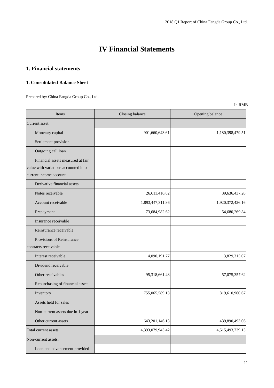## **IV Financial Statements**

### **1. Financial statements**

#### **1. Consolidated Balance Sheet**

Prepared by: China Fangda Group Co., Ltd.

| Items                                                                                               | Closing balance   | Opening balance  |
|-----------------------------------------------------------------------------------------------------|-------------------|------------------|
| Current asset:                                                                                      |                   |                  |
| Monetary capital                                                                                    | 901,660,643.61    | 1,180,398,479.51 |
| Settlement provision                                                                                |                   |                  |
| Outgoing call loan                                                                                  |                   |                  |
| Financial assets measured at fair<br>value with variations accounted into<br>current income account |                   |                  |
| Derivative financial assets                                                                         |                   |                  |
| Notes receivable                                                                                    | 26,611,416.82     | 39,636,437.20    |
| Account receivable                                                                                  | 1,893,447,311.86  | 1,920,372,426.16 |
| Prepayment                                                                                          | 73,684,982.62     | 54,680,269.84    |
| Insurance receivable                                                                                |                   |                  |
| Reinsurance receivable                                                                              |                   |                  |
| Provisions of Reinsurance<br>contracts receivable                                                   |                   |                  |
| Interest receivable                                                                                 | 4,090,191.77      | 3,829,315.07     |
| Dividend receivable                                                                                 |                   |                  |
| Other receivables                                                                                   | 95,318,661.48     | 57,075,357.62    |
| Repurchasing of financial assets                                                                    |                   |                  |
| Inventory                                                                                           | 755,065,589.13    | 819,610,960.67   |
| Assets held for sales                                                                               |                   |                  |
| Non-current assets due in 1 year                                                                    |                   |                  |
| Other current assets                                                                                | 643, 201, 146. 13 | 439,890,493.06   |
| Total current assets                                                                                | 4,393,079,943.42  | 4,515,493,739.13 |
| Non-current assets:                                                                                 |                   |                  |
| Loan and advancement provided                                                                       |                   |                  |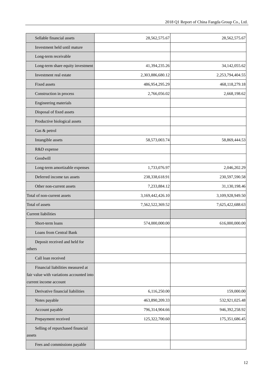| Sellable financial assets                                           | 28,562,575.67    | 28,562,575.67    |
|---------------------------------------------------------------------|------------------|------------------|
| Investment held until mature                                        |                  |                  |
| Long-term receivable                                                |                  |                  |
| Long-term share equity investment                                   | 41,394,235.26    | 34,142,055.62    |
| Investment real estate                                              | 2,303,886,680.12 | 2,253,794,404.55 |
| <b>Fixed assets</b>                                                 | 486,954,295.29   | 468,118,279.18   |
| Construction in process                                             | 2,766,056.02     | 2,668,198.62     |
| Engineering materials                                               |                  |                  |
| Disposal of fixed assets                                            |                  |                  |
| Productive biological assets                                        |                  |                  |
| Gas & petrol                                                        |                  |                  |
| Intangible assets                                                   | 58,573,003.74    | 58,869,444.53    |
| R&D expense                                                         |                  |                  |
| Goodwill                                                            |                  |                  |
| Long-term amortizable expenses                                      | 1,733,076.97     | 2,046,202.29     |
| Deferred income tax assets                                          | 238,338,618.91   | 230,597,590.58   |
| Other non-current assets                                            | 7,233,884.12     | 31,130,198.46    |
| Total of non-current assets                                         | 3,169,442,426.10 | 3,109,928,949.50 |
| Total of assets                                                     | 7,562,522,369.52 | 7,625,422,688.63 |
| <b>Current liabilities</b>                                          |                  |                  |
| Short-term loans                                                    | 574,000,000.00   | 616,000,000.00   |
| Loans from Central Bank                                             |                  |                  |
| Deposit received and held for                                       |                  |                  |
| others                                                              |                  |                  |
| Call loan received                                                  |                  |                  |
| Financial liabilities measured at                                   |                  |                  |
| fair value with variations accounted into<br>current income account |                  |                  |
| Derivative financial liabilities                                    | 6,116,250.00     | 159,000.00       |
| Notes payable                                                       | 463,890,209.33   | 532,921,025.48   |
| Account payable                                                     | 796,314,904.66   | 946,392,258.92   |
| Prepayment received                                                 | 125,322,700.60   | 175,351,686.45   |
| Selling of repurchased financial                                    |                  |                  |
| assets                                                              |                  |                  |
| Fees and commissions payable                                        |                  |                  |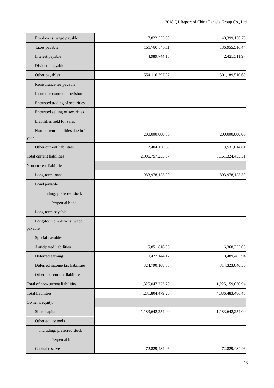| Employees' wage payable                  | 17,822,353.53    | 40,399,130.75    |
|------------------------------------------|------------------|------------------|
| Taxes payable                            | 151,780,545.11   | 136,955,516.44   |
| Interest payable                         | 4,989,744.18     | 2,425,311.97     |
| Dividend payable                         |                  |                  |
| Other payables                           | 554,116,397.87   | 501,189,510.69   |
| Reinsurance fee payable                  |                  |                  |
| Insurance contract provision             |                  |                  |
| Entrusted trading of securities          |                  |                  |
| Entrusted selling of securities          |                  |                  |
| Liabilities held for sales               |                  |                  |
| Non-current liabilities due in 1<br>year | 200,000,000.00   | 200,000,000.00   |
| Other current liabilities                | 12,404,150.69    | 9,531,014.81     |
| Total current liabilities                | 2,906,757,255.97 | 3,161,324,455.51 |
| Non-current liabilities:                 |                  |                  |
| Long-term loans                          | 983,978,153.39   | 893,978,153.39   |
| Bond payable                             |                  |                  |
| Including: preferred stock               |                  |                  |
| Perpetual bond                           |                  |                  |
| Long-term payable                        |                  |                  |
| Long-term employees' wage<br>payable     |                  |                  |
| Special payables                         |                  |                  |
| Anticipated liabilities                  | 5,851,816.95     | 6,368,353.05     |
| Deferred earning                         | 10,427,144.12    | 10,489,483.94    |
| Deferred income tax liabilities          | 324,790,108.83   | 314,323,040.56   |
| Other non-current liabilities            |                  |                  |
| Total of non-current liabilities         | 1,325,047,223.29 | 1,225,159,030.94 |
| <b>Total liabilities</b>                 | 4,231,804,479.26 | 4,386,483,486.45 |
| Owner's equity:                          |                  |                  |
| Share capital                            | 1,183,642,254.00 | 1,183,642,254.00 |
| Other equity tools                       |                  |                  |
| Including: preferred stock               |                  |                  |
| Perpetual bond                           |                  |                  |
| Capital reserves                         | 72,829,484.96    | 72,829,484.96    |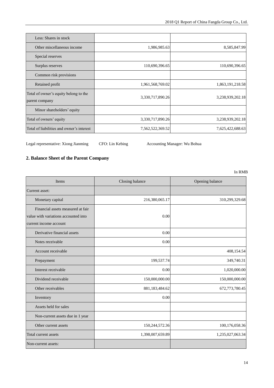| Less: Shares in stock                                   |                  |                  |
|---------------------------------------------------------|------------------|------------------|
| Other miscellaneous income                              | 1,986,985.63     | 8,585,847.99     |
| Special reserves                                        |                  |                  |
| Surplus reserves                                        | 110,690,396.65   | 110,690,396.65   |
| Common risk provisions                                  |                  |                  |
| Retained profit                                         | 1,961,568,769.02 | 1,863,191,218.58 |
| Total of owner's equity belong to the<br>parent company | 3,330,717,890.26 | 3,238,939,202.18 |
| Minor shareholders' equity                              |                  |                  |
| Total of owners' equity                                 | 3,330,717,890.26 | 3,238,939,202.18 |
| Total of liabilities and owner's interest               | 7,562,522,369.52 | 7,625,422,688.63 |

Legal representative: Xiong Jianming CFO: Lin Kebing Accounting Manager: Wu Bohua

### **2. Balance Sheet of the Parent Company**

| Items                                                                                               | Closing balance  | Opening balance  |
|-----------------------------------------------------------------------------------------------------|------------------|------------------|
| Current asset:                                                                                      |                  |                  |
| Monetary capital                                                                                    | 216,380,065.17   | 310,299,329.68   |
| Financial assets measured at fair<br>value with variations accounted into<br>current income account | 0.00             |                  |
| Derivative financial assets                                                                         | 0.00             |                  |
| Notes receivable                                                                                    | 0.00             |                  |
| Account receivable                                                                                  |                  | 408,154.54       |
| Prepayment                                                                                          | 199,537.74       | 349,740.31       |
| Interest receivable                                                                                 | 0.00             | 1,020,000.00     |
| Dividend receivable                                                                                 | 150,000,000.00   | 150,000,000.00   |
| Other receivables                                                                                   | 881,183,484.62   | 672,773,780.45   |
| Inventory                                                                                           | 0.00             |                  |
| Assets held for sales                                                                               |                  |                  |
| Non-current assets due in 1 year                                                                    |                  |                  |
| Other current assets                                                                                | 150,244,572.36   | 100,176,058.36   |
| Total current assets                                                                                | 1,398,007,659.89 | 1,235,027,063.34 |
| Non-current assets:                                                                                 |                  |                  |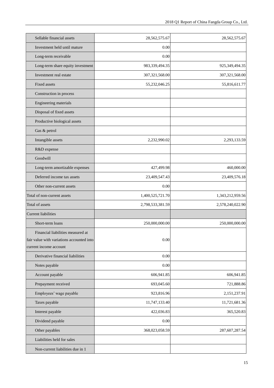| Sellable financial assets                 | 28,562,575.67    | 28,562,575.67    |
|-------------------------------------------|------------------|------------------|
| Investment held until mature              | 0.00             |                  |
| Long-term receivable                      | 0.00             |                  |
| Long-term share equity investment         | 983,339,494.35   | 925,349,494.35   |
| Investment real estate                    | 307,321,568.00   | 307,321,568.00   |
| <b>Fixed assets</b>                       | 55,232,046.25    | 55,816,611.77    |
| Construction in process                   |                  |                  |
| Engineering materials                     |                  |                  |
| Disposal of fixed assets                  |                  |                  |
| Productive biological assets              |                  |                  |
| Gas & petrol                              |                  |                  |
| Intangible assets                         | 2,232,990.02     | 2,293,133.59     |
| R&D expense                               |                  |                  |
| Goodwill                                  |                  |                  |
| Long-term amortizable expenses            | 427,499.98       | 460,000.00       |
| Deferred income tax assets                | 23,409,547.43    | 23,409,576.18    |
| Other non-current assets                  | 0.00             |                  |
| Total of non-current assets               | 1,400,525,721.70 | 1,343,212,959.56 |
| Total of assets                           | 2,798,533,381.59 | 2,578,240,022.90 |
| <b>Current liabilities</b>                |                  |                  |
| Short-term loans                          | 250,000,000.00   | 250,000,000.00   |
| Financial liabilities measured at         |                  |                  |
| fair value with variations accounted into | $0.00\,$         |                  |
| current income account                    |                  |                  |
| Derivative financial liabilities          | 0.00             |                  |
| Notes payable                             | $0.00\,$         |                  |
| Account payable                           | 606,941.85       | 606,941.85       |
| Prepayment received                       | 693,045.60       | 721,888.86       |
| Employees' wage payable                   | 923,816.96       | 2,151,237.91     |
| Taxes payable                             | 11,747,133.40    | 11,721,681.36    |
| Interest payable                          | 422,036.83       | 365,520.83       |
| Dividend payable                          | 0.00             |                  |
| Other payables                            | 368,023,058.59   | 287,607,287.54   |
| Liabilities held for sales                |                  |                  |
| Non-current liabilities due in 1          |                  |                  |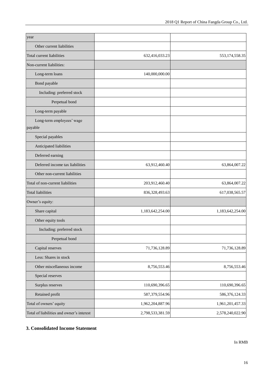| year                                      |                  |                   |
|-------------------------------------------|------------------|-------------------|
| Other current liabilities                 |                  |                   |
| Total current liabilities                 | 632,416,033.23   | 553, 174, 558. 35 |
| Non-current liabilities:                  |                  |                   |
| Long-term loans                           | 140,000,000.00   |                   |
| Bond payable                              |                  |                   |
| Including: preferred stock                |                  |                   |
| Perpetual bond                            |                  |                   |
| Long-term payable                         |                  |                   |
| Long-term employees' wage<br>payable      |                  |                   |
| Special payables                          |                  |                   |
| Anticipated liabilities                   |                  |                   |
| Deferred earning                          |                  |                   |
| Deferred income tax liabilities           | 63,912,460.40    | 63,864,007.22     |
| Other non-current liabilities             |                  |                   |
| Total of non-current liabilities          | 203,912,460.40   | 63,864,007.22     |
| <b>Total liabilities</b>                  | 836,328,493.63   | 617,038,565.57    |
| Owner's equity:                           |                  |                   |
| Share capital                             | 1,183,642,254.00 | 1,183,642,254.00  |
| Other equity tools                        |                  |                   |
| Including: preferred stock                |                  |                   |
| Perpetual bond                            |                  |                   |
| Capital reserves                          | 71,736,128.89    | 71,736,128.89     |
| Less: Shares in stock                     |                  |                   |
| Other miscellaneous income                | 8,756,553.46     | 8,756,553.46      |
| Special reserves                          |                  |                   |
| Surplus reserves                          | 110,690,396.65   | 110,690,396.65    |
| Retained profit                           | 587,379,554.96   | 586,376,124.33    |
| Total of owners' equity                   | 1,962,204,887.96 | 1,961,201,457.33  |
| Total of liabilities and owner's interest | 2,798,533,381.59 | 2,578,240,022.90  |

### **3. Consolidated Income Statement**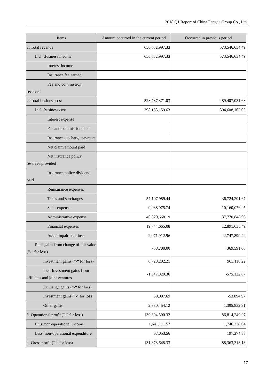| Items                                                        | Amount occurred in the current period | Occurred in previous period |
|--------------------------------------------------------------|---------------------------------------|-----------------------------|
| 1. Total revenue                                             | 650,032,997.33                        | 573,546,634.49              |
| Incl. Business income                                        | 650,032,997.33                        | 573,546,634.49              |
| Interest income                                              |                                       |                             |
| Insurance fee earned                                         |                                       |                             |
| Fee and commission<br>received                               |                                       |                             |
| 2. Total business cost                                       | 528,787,371.03                        | 489, 407, 031.68            |
| Incl. Business cost                                          | 398,153,159.63                        | 394,608,165.03              |
| Interest expense                                             |                                       |                             |
| Fee and commission paid                                      |                                       |                             |
| Insurance discharge payment                                  |                                       |                             |
| Net claim amount paid                                        |                                       |                             |
| Net insurance policy<br>reserves provided                    |                                       |                             |
| Insurance policy dividend<br>paid                            |                                       |                             |
| Reinsurance expenses                                         |                                       |                             |
| Taxes and surcharges                                         | 57,107,989.44                         | 36,724,201.67               |
| Sales expense                                                | 9,988,975.74                          | 10,160,076.95               |
| Administrative expense                                       | 40,820,668.19                         | 37,770,848.96               |
| Financial expenses                                           | 19,744,665.08                         | 12,891,638.49               |
| Asset impairment loss                                        | 2,971,912.96                          | $-2,747,899.42$             |
| Plus: gains from change of fair value<br>("-" for loss)      | $-58,700.00$                          | 369,591.00                  |
| Investment gains ("-" for loss)                              | 6,728,202.21                          | 963,118.22                  |
| Incl. Investment gains from<br>affiliates and joint ventures | $-1,547,820.36$                       | $-575,132.67$               |
| Exchange gains ("-" for loss)                                |                                       |                             |
| Investment gains ("-" for loss)                              | 59,007.69                             | -53,894.97                  |
| Other gains                                                  | 2,330,454.12                          | 1,395,832.91                |
| 3. Operational profit ("-" for loss)                         | 130,304,590.32                        | 86, 814, 249. 97            |
| Plus: non-operational income                                 | 1,641,111.57                          | 1,746,338.04                |
| Less: non-operational expenditure                            | 67,053.56                             | 197,274.88                  |
| 4. Gross profit ("-" for loss)                               | 131,878,648.33                        | 88, 363, 313. 13            |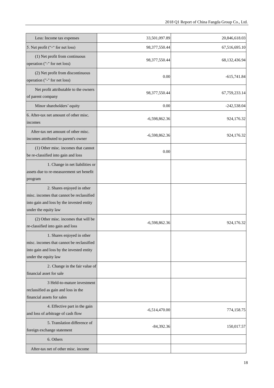| Less: Income tax expenses                                                                                                                    | 33,501,097.89    | 20,846,618.03 |
|----------------------------------------------------------------------------------------------------------------------------------------------|------------------|---------------|
| 5. Net profit ("-" for net loss)                                                                                                             | 98, 377, 550. 44 | 67,516,695.10 |
| (1) Net profit from continuous<br>operation ("-" for net loss)                                                                               | 98,377,550.44    | 68,132,436.94 |
| (2) Net profit from discontinuous<br>operation ("-" for net loss)                                                                            | 0.00             | $-615,741.84$ |
| Net profit attributable to the owners<br>of parent company                                                                                   | 98, 377, 550. 44 | 67,759,233.14 |
| Minor shareholders' equity                                                                                                                   | 0.00             | $-242,538.04$ |
| 6. After-tax net amount of other misc.<br>incomes                                                                                            | $-6,598,862.36$  | 924,176.32    |
| After-tax net amount of other misc.<br>incomes attributed to parent's owner                                                                  | $-6,598,862.36$  | 924,176.32    |
| (1) Other misc. incomes that cannot<br>be re-classified into gain and loss                                                                   | 0.00             |               |
| 1. Change in net liabilities or<br>assets due to re-measurement set benefit<br>program                                                       |                  |               |
| 2. Shares enjoyed in other<br>misc. incomes that cannot be reclassified<br>into gain and loss by the invested entity<br>under the equity law |                  |               |
| (2) Other misc. incomes that will be<br>re-classified into gain and loss                                                                     | $-6,598,862.36$  | 924,176.32    |
| 1. Shares enjoyed in other<br>misc. incomes that cannot be reclassified<br>into gain and loss by the invested entity<br>under the equity law |                  |               |
| 2. Change in the fair value of<br>financial asset for sale                                                                                   |                  |               |
| 3 Held-to-mature investment<br>reclassified as gain and loss in the<br>financial assets for sales                                            |                  |               |
| 4. Effective part in the gain<br>and loss of arbitrage of cash flow                                                                          | $-6,514,470.00$  | 774,158.75    |
| 5. Translation difference of<br>foreign exchange statement                                                                                   | $-84,392.36$     | 150,017.57    |
| 6. Others                                                                                                                                    |                  |               |
| After-tax net of other misc. income                                                                                                          |                  |               |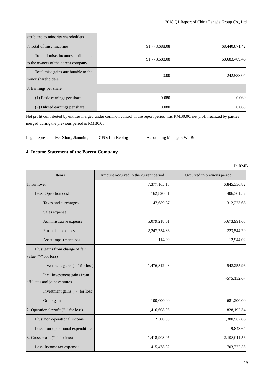| attributed to minority shareholders                                        |               |               |
|----------------------------------------------------------------------------|---------------|---------------|
| 7. Total of misc. incomes                                                  | 91,778,688.08 | 68,440,871.42 |
| Total of misc, incomes attributable<br>to the owners of the parent company | 91,778,688.08 | 68,683,409.46 |
| Total misc gains attributable to the<br>minor shareholders                 | 0.00          | $-242,538.04$ |
| 8. Earnings per share:                                                     |               |               |
| (1) Basic earnings per share                                               | 0.080         | 0.060         |
| (2) Diluted earnings per share                                             | 0.080         | 0.060         |

Net profit contributed by entities merged under common control in the report period was RMB0.00, net profit realized by parties merged during the previous period is RMB0.00.

Legal representative: Xiong Jianming CFO: Lin Kebing Accounting Manager: Wu Bohua

#### **4. Income Statement of the Parent Company**

| Items                                                        | Amount occurred in the current period | Occurred in previous period |
|--------------------------------------------------------------|---------------------------------------|-----------------------------|
| 1. Turnover                                                  | 7,377,165.13                          | 6,845,336.82                |
| Less: Operation cost                                         | 162,820.81                            | 406,361.52                  |
| Taxes and surcharges                                         | 47,689.87                             | 312,223.66                  |
| Sales expense                                                |                                       |                             |
| Administrative expense                                       | 5,079,218.61                          | 5,673,991.65                |
| Financial expenses                                           | 2,247,754.36                          | $-223,544.29$               |
| Asset impairment loss                                        | $-114.99$                             | $-12,944.02$                |
| Plus: gains from change of fair<br>value ("-" for loss)      |                                       |                             |
| Investment gains ("-" for loss)                              | 1,476,812.48                          | $-542,255.96$               |
| Incl. Investment gains from<br>affiliates and joint ventures |                                       | $-575,132.67$               |
| Investment gains ("-" for loss)                              |                                       |                             |
| Other gains                                                  | 100,000.00                            | 681,200.00                  |
| 2. Operational profit ("-" for loss)                         | 1,416,608.95                          | 828,192.34                  |
| Plus: non-operational income                                 | 2,300.00                              | 1,380,567.86                |
| Less: non-operational expenditure                            |                                       | 9,848.64                    |
| 3. Gross profit ("-" for loss)                               | 1,418,908.95                          | 2,198,911.56                |
| Less: Income tax expenses                                    | 415,478.32                            | 703,722.55                  |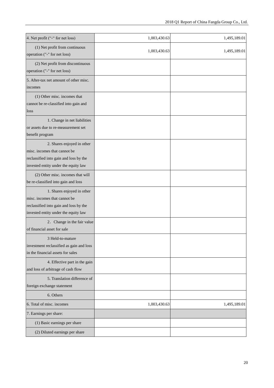| 4. Net profit ("-" for net loss)                                                                                                             | 1,003,430.63 | 1,495,189.01 |
|----------------------------------------------------------------------------------------------------------------------------------------------|--------------|--------------|
| (1) Net profit from continuous<br>operation ("-" for net loss)                                                                               | 1,003,430.63 | 1,495,189.01 |
| (2) Net profit from discontinuous<br>operation ("-" for net loss)                                                                            |              |              |
| 5. After-tax net amount of other misc.<br>incomes                                                                                            |              |              |
| (1) Other misc. incomes that<br>cannot be re-classified into gain and<br>loss                                                                |              |              |
| 1. Change in net liabilities<br>or assets due to re-measurement set<br>benefit program                                                       |              |              |
| 2. Shares enjoyed in other<br>misc. incomes that cannot be<br>reclassified into gain and loss by the<br>invested entity under the equity law |              |              |
| (2) Other misc. incomes that will<br>be re-classified into gain and loss                                                                     |              |              |
| 1. Shares enjoyed in other<br>misc. incomes that cannot be<br>reclassified into gain and loss by the<br>invested entity under the equity law |              |              |
| 2. Change in the fair value<br>of financial asset for sale                                                                                   |              |              |
| 3 Held-to-mature<br>investment reclassified as gain and loss<br>in the financial assets for sales                                            |              |              |
| 4. Effective part in the gain<br>and loss of arbitrage of cash flow                                                                          |              |              |
| 5. Translation difference of<br>foreign exchange statement                                                                                   |              |              |
| 6. Others                                                                                                                                    |              |              |
| 6. Total of misc. incomes                                                                                                                    | 1,003,430.63 | 1,495,189.01 |
| 7. Earnings per share:                                                                                                                       |              |              |
| (1) Basic earnings per share                                                                                                                 |              |              |
| (2) Diluted earnings per share                                                                                                               |              |              |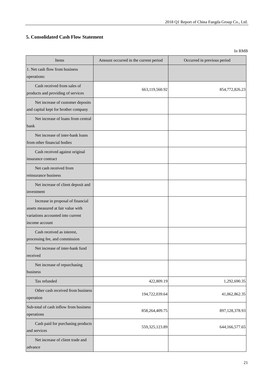### **5. Consolidated Cash Flow Statement**

| Items                                                                                                                          | Amount occurred in the current period | Occurred in previous period |
|--------------------------------------------------------------------------------------------------------------------------------|---------------------------------------|-----------------------------|
| 1. Net cash flow from business<br>operations:                                                                                  |                                       |                             |
| Cash received from sales of<br>products and providing of services                                                              | 663,119,560.92                        | 854,772,826.23              |
| Net increase of customer deposits<br>and capital kept for brother company                                                      |                                       |                             |
| Net increase of loans from central<br>bank                                                                                     |                                       |                             |
| Net increase of inter-bank loans<br>from other financial bodies                                                                |                                       |                             |
| Cash received against original<br>insurance contract                                                                           |                                       |                             |
| Net cash received from<br>reinsurance business                                                                                 |                                       |                             |
| Net increase of client deposit and<br>investment                                                                               |                                       |                             |
| Increase in proposal of financial<br>assets measured at fair value with<br>variations accounted into current<br>income account |                                       |                             |
| Cash received as interest,<br>processing fee, and commission                                                                   |                                       |                             |
| Net increase of inter-bank fund<br>received                                                                                    |                                       |                             |
| Net increase of repurchasing<br>business                                                                                       |                                       |                             |
| Tax refunded                                                                                                                   | 422,809.19                            | 1,292,690.35                |
| Other cash received from business<br>operation                                                                                 | 194,722,039.64                        | 41,062,862.35               |
| Sub-total of cash inflow from business<br>operations                                                                           | 858,264,409.75                        | 897,128,378.93              |
| Cash paid for purchasing products<br>and services                                                                              | 559, 325, 123.89                      | 644,166,577.65              |
| Net increase of client trade and<br>advance                                                                                    |                                       |                             |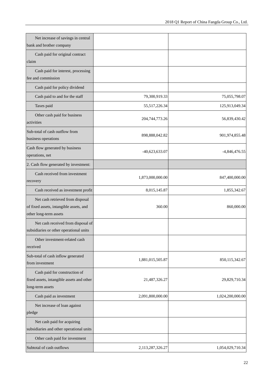| Net increase of savings in central<br>bank and brother company                                        |                  |                  |
|-------------------------------------------------------------------------------------------------------|------------------|------------------|
| Cash paid for original contract<br>claim                                                              |                  |                  |
| Cash paid for interest, processing<br>fee and commission                                              |                  |                  |
| Cash paid for policy dividend                                                                         |                  |                  |
| Cash paid to and for the staff                                                                        | 79,300,919.33    | 75,055,798.07    |
| Taxes paid                                                                                            | 55,517,226.34    | 125,913,049.34   |
| Other cash paid for business<br>activities                                                            | 204,744,773.26   | 56,839,430.42    |
| Sub-total of cash outflow from<br>business operations                                                 | 898,888,042.82   | 901,974,855.48   |
| Cash flow generated by business<br>operations, net                                                    | -40,623,633.07   | $-4,846,476.55$  |
| 2. Cash flow generated by investment:                                                                 |                  |                  |
| Cash received from investment<br>recovery                                                             | 1,873,000,000.00 | 847,400,000.00   |
| Cash received as investment profit                                                                    | 8,015,145.87     | 1,855,342.67     |
| Net cash retrieved from disposal<br>of fixed assets, intangible assets, and<br>other long-term assets | 360.00           | 860,000.00       |
| Net cash received from disposal of<br>subsidiaries or other operational units                         |                  |                  |
| Other investment-related cash<br>received                                                             |                  |                  |
| Sub-total of cash inflow generated<br>from investment                                                 | 1,881,015,505.87 | 850,115,342.67   |
| Cash paid for construction of<br>fixed assets, intangible assets and other<br>long-term assets        | 21,487,326.27    | 29,829,710.34    |
| Cash paid as investment                                                                               | 2,091,800,000.00 | 1,024,200,000.00 |
| Net increase of loan against<br>pledge                                                                |                  |                  |
| Net cash paid for acquiring                                                                           |                  |                  |
| subsidiaries and other operational units                                                              |                  |                  |
| Other cash paid for investment                                                                        |                  |                  |
| Subtotal of cash outflows                                                                             | 2,113,287,326.27 | 1,054,029,710.34 |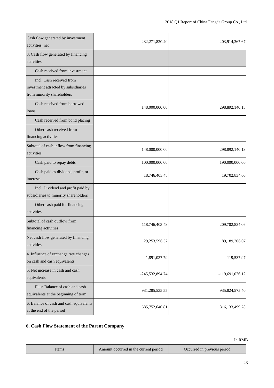| Cash flow generated by investment<br>activities, net                                           | -232,271,820.40 | -203,914,367.67 |
|------------------------------------------------------------------------------------------------|-----------------|-----------------|
| 3. Cash flow generated by financing<br>activities:                                             |                 |                 |
| Cash received from investment                                                                  |                 |                 |
| Incl. Cash received from<br>investment attracted by subsidiaries<br>from minority shareholders |                 |                 |
| Cash received from borrowed<br>loans                                                           | 148,000,000.00  | 298,892,140.13  |
| Cash received from bond placing                                                                |                 |                 |
| Other cash received from<br>financing activities                                               |                 |                 |
| Subtotal of cash inflow from financing<br>activities                                           | 148,000,000.00  | 298,892,140.13  |
| Cash paid to repay debts                                                                       | 100,000,000.00  | 190,000,000.00  |
| Cash paid as dividend, profit, or<br>interests                                                 | 18,746,403.48   | 19,702,834.06   |
| Incl. Dividend and profit paid by<br>subsidiaries to minority shareholders                     |                 |                 |
| Other cash paid for financing<br>activities                                                    |                 |                 |
| Subtotal of cash outflow from<br>financing activities                                          | 118,746,403.48  | 209,702,834.06  |
| Net cash flow generated by financing<br>activities                                             | 29,253,596.52   | 89,189,306.07   |
| 4. Influence of exchange rate changes<br>on cash and cash equivalents                          | $-1,891,037.79$ | -119,537.97     |
| 5. Net increase in cash and cash<br>equivalents                                                | -245,532,894.74 | -119,691,076.12 |
| Plus: Balance of cash and cash<br>equivalents at the beginning of term                         | 931,285,535.55  | 935,824,575.40  |
| 6. Balance of cash and cash equivalents<br>at the end of the period                            | 685,752,640.81  | 816,133,499.28  |

### **6. Cash Flow Statement of the Parent Company**

| tems | Amount occurred in the current period | Occurred in previous period |
|------|---------------------------------------|-----------------------------|
|      |                                       |                             |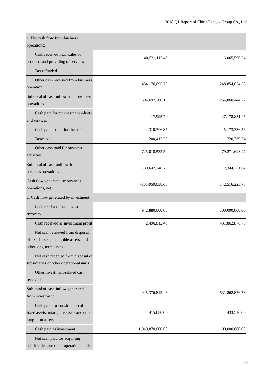| 1. Net cash flow from business<br>operations:                                                         |                  |                |
|-------------------------------------------------------------------------------------------------------|------------------|----------------|
| Cash received from sales of<br>products and providing of services                                     | 140,521,112.40   | 6,005,590.24   |
| Tax refunded                                                                                          |                  |                |
| Other cash received from business<br>operation                                                        | 454,176,095.73   | 248,854,854.53 |
| Sub-total of cash inflow from business<br>operations                                                  | 594,697,208.13   | 254,860,444.77 |
| Cash paid for purchasing products<br>and services                                                     | 117,995.70       | 27,178,851.45  |
| Cash paid to and for the staff                                                                        | 4,310,306.35     | 5,173,336.56   |
| Taxes paid                                                                                            | 1,200,412.23     | 720,339.74     |
| Other cash paid for business<br>activities                                                            | 725,018,532.50   | 79,271,693.27  |
| Sub-total of cash outflow from<br>business operations                                                 | 730,647,246.78   | 112,344,221.02 |
| Cash flow generated by business<br>operations, net                                                    | -135,950,038.65  | 142,516,223.75 |
| 2. Cash flow generated by investment:                                                                 |                  |                |
| Cash received from investment<br>recovery                                                             | 942,880,000.00   | 100,000,000.00 |
| Cash received as investment profit                                                                    | 2,496,812.48     | 431,862,876.73 |
| Net cash retrieved from disposal<br>of fixed assets, intangible assets, and<br>other long-term assets |                  |                |
| Net cash received from disposal of<br>subsidiaries or other operational units                         |                  |                |
| Other investment-related cash<br>received                                                             |                  |                |
| Sub-total of cash inflow generated<br>from investment                                                 | 945,376,812.48   | 531,862,876.73 |
| Cash paid for construction of<br>fixed assets, intangible assets and other<br>long-term assets        | 415,830.00       | 433,510.00     |
| Cash paid as investment                                                                               | 1,040,870,000.00 | 100,000,000.00 |
| Net cash paid for acquiring<br>subsidiaries and other operational units                               |                  |                |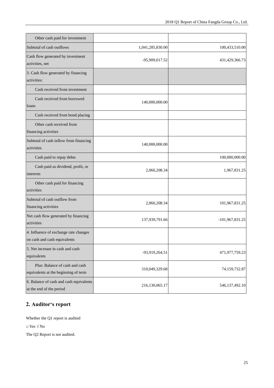| Other cash paid for investment                                         |                  |                 |
|------------------------------------------------------------------------|------------------|-----------------|
| Subtotal of cash outflows                                              | 1,041,285,830.00 | 100,433,510.00  |
| Cash flow generated by investment<br>activities, net                   | -95,909,017.52   | 431,429,366.73  |
| 3. Cash flow generated by financing<br>activities:                     |                  |                 |
| Cash received from investment                                          |                  |                 |
| Cash received from borrowed<br>loans                                   | 140,000,000.00   |                 |
| Cash received from bond placing                                        |                  |                 |
| Other cash received from<br>financing activities                       |                  |                 |
| Subtotal of cash inflow from financing<br>activities                   | 140,000,000.00   |                 |
| Cash paid to repay debts                                               |                  | 100,000,000.00  |
| Cash paid as dividend, profit, or<br>interests                         | 2,060,208.34     | 1,967,831.25    |
| Other cash paid for financing<br>activities                            |                  |                 |
| Subtotal of cash outflow from<br>financing activities                  | 2,060,208.34     | 101,967,831.25  |
| Net cash flow generated by financing<br>activities                     | 137,939,791.66   | -101,967,831.25 |
| 4. Influence of exchange rate changes<br>on cash and cash equivalents  |                  |                 |
| 5. Net increase in cash and cash<br>equivalents                        | -93,919,264.51   | 471,977,759.23  |
| Plus: Balance of cash and cash<br>equivalents at the beginning of term | 310,049,329.68   | 74,159,732.87   |
| 6. Balance of cash and cash equivalents<br>at the end of the period    | 216,130,065.17   | 546,137,492.10  |

### **2. Auditor's report**

Whether the Q1 report is audited

 $\Box$  Yes  $\sqrt{s}$  No

The Q2 Report is not audited.